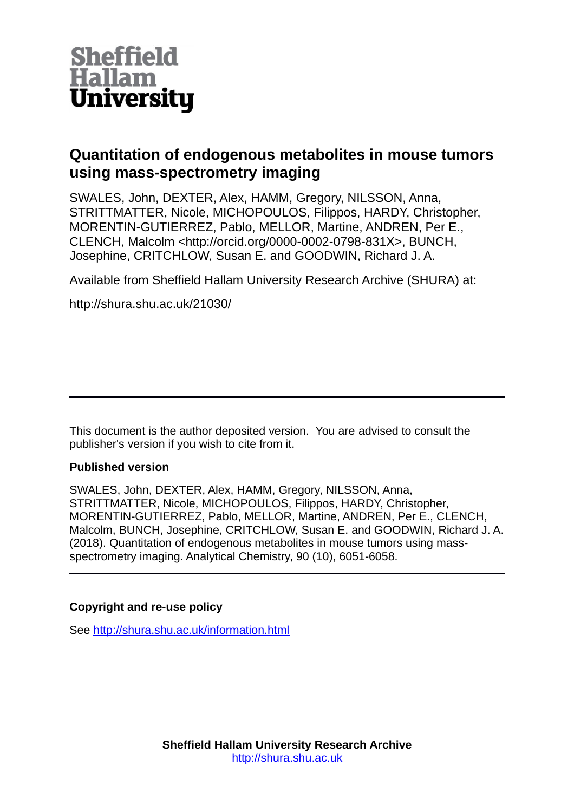

# **Quantitation of endogenous metabolites in mouse tumors using mass-spectrometry imaging**

SWALES, John, DEXTER, Alex, HAMM, Gregory, NILSSON, Anna, STRITTMATTER, Nicole, MICHOPOULOS, Filippos, HARDY, Christopher, MORENTIN-GUTIERREZ, Pablo, MELLOR, Martine, ANDREN, Per E., CLENCH, Malcolm <http://orcid.org/0000-0002-0798-831X>, BUNCH, Josephine, CRITCHLOW, Susan E. and GOODWIN, Richard J. A.

Available from Sheffield Hallam University Research Archive (SHURA) at:

http://shura.shu.ac.uk/21030/

This document is the author deposited version. You are advised to consult the publisher's version if you wish to cite from it.

## **Published version**

SWALES, John, DEXTER, Alex, HAMM, Gregory, NILSSON, Anna, STRITTMATTER, Nicole, MICHOPOULOS, Filippos, HARDY, Christopher, MORENTIN-GUTIERREZ, Pablo, MELLOR, Martine, ANDREN, Per E., CLENCH, Malcolm, BUNCH, Josephine, CRITCHLOW, Susan E. and GOODWIN, Richard J. A. (2018). Quantitation of endogenous metabolites in mouse tumors using massspectrometry imaging. Analytical Chemistry, 90 (10), 6051-6058.

## **Copyright and re-use policy**

See<http://shura.shu.ac.uk/information.html>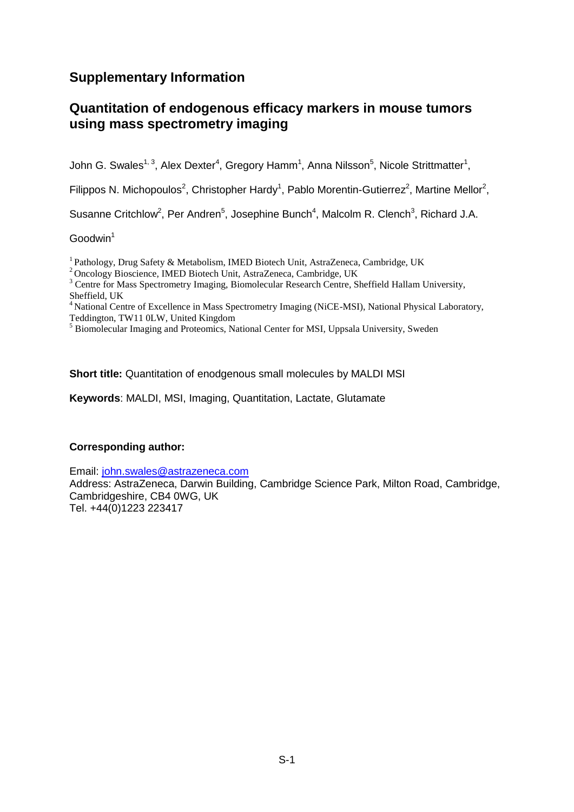## **Supplementary Information**

## **Quantitation of endogenous efficacy markers in mouse tumors using mass spectrometry imaging**

John G. Swales<sup>1, 3</sup>, Alex Dexter<sup>4</sup>, Gregory Hamm<sup>1</sup>, Anna Nilsson<sup>5</sup>, Nicole Strittmatter<sup>1</sup>,

Filippos N. Michopoulos<sup>2</sup>, Christopher Hardy<sup>1</sup>, Pablo Morentin-Gutierrez<sup>2</sup>, Martine Mellor<sup>2</sup>,

Susanne Critchlow<sup>2</sup>, Per Andren<sup>5</sup>, Josephine Bunch<sup>4</sup>, Malcolm R. Clench<sup>3</sup>, Richard J.A.

### $Goodwin<sup>1</sup>$

<sup>1</sup>Pathology, Drug Safety & Metabolism, IMED Biotech Unit, AstraZeneca, Cambridge, UK

<sup>2</sup>Oncology Bioscience, IMED Biotech Unit, AstraZeneca, Cambridge, UK

<sup>3</sup> Centre for Mass Spectrometry Imaging, Biomolecular Research Centre, Sheffield Hallam University, Sheffield, UK

<sup>4</sup> National Centre of Excellence in Mass Spectrometry Imaging (NiCE-MSI), National Physical Laboratory, Teddington, TW11 0LW, United Kingdom

<sup>5</sup> Biomolecular Imaging and Proteomics, National Center for MSI, Uppsala University, Sweden

**Short title:** Quantitation of enodgenous small molecules by MALDI MSI

**Keywords**: MALDI, MSI, Imaging, Quantitation, Lactate, Glutamate

## **Corresponding author:**

Email: [john.swales@astrazeneca.com](mailto:john.swales@astrazeneca.com)

Address: AstraZeneca, Darwin Building, Cambridge Science Park, Milton Road, Cambridge, Cambridgeshire, CB4 0WG, UK Tel. +44(0)1223 223417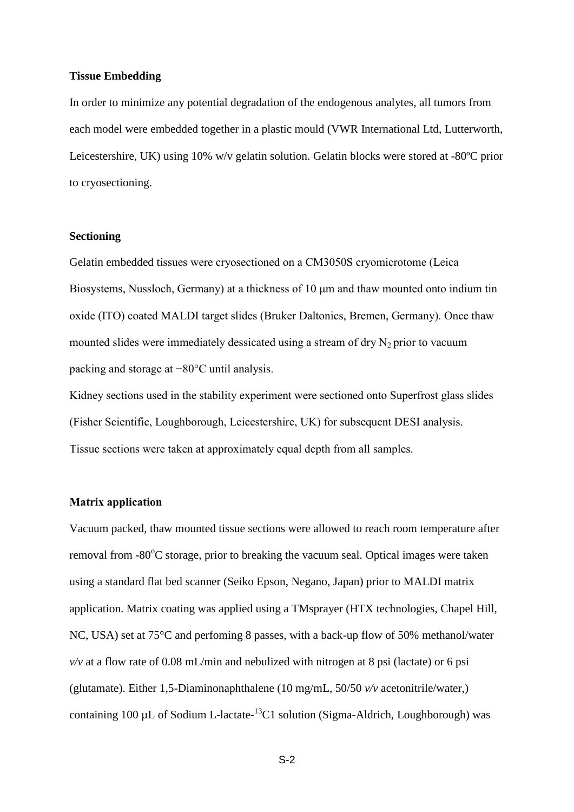#### **Tissue Embedding**

In order to minimize any potential degradation of the endogenous analytes, all tumors from each model were embedded together in a plastic mould (VWR International Ltd, Lutterworth, Leicestershire, UK) using 10% w/v gelatin solution. Gelatin blocks were stored at -80ºC prior to cryosectioning.

#### **Sectioning**

Gelatin embedded tissues were cryosectioned on a CM3050S cryomicrotome (Leica Biosystems, Nussloch, Germany) at a thickness of 10 μm and thaw mounted onto indium tin oxide (ITO) coated MALDI target slides (Bruker Daltonics, Bremen, Germany). Once thaw mounted slides were immediately dessicated using a stream of dry  $N_2$  prior to vacuum packing and storage at −80°C until analysis.

Kidney sections used in the stability experiment were sectioned onto Superfrost glass slides (Fisher Scientific, Loughborough, Leicestershire, UK) for subsequent DESI analysis. Tissue sections were taken at approximately equal depth from all samples.

### **Matrix application**

Vacuum packed, thaw mounted tissue sections were allowed to reach room temperature after removal from  $-80^{\circ}$ C storage, prior to breaking the vacuum seal. Optical images were taken using a standard flat bed scanner (Seiko Epson, Negano, Japan) prior to MALDI matrix application. Matrix coating was applied using a TMsprayer (HTX technologies, Chapel Hill, NC, USA) set at 75°C and perfoming 8 passes, with a back-up flow of 50% methanol/water *v/v* at a flow rate of 0.08 mL/min and nebulized with nitrogen at 8 psi (lactate) or 6 psi (glutamate). Either 1,5-Diaminonaphthalene (10 mg/mL, 50/50 *v/v* acetonitrile/water,) containing 100  $\mu$ L of Sodium L-lactate- $^{13}$ C1 solution (Sigma-Aldrich, Loughborough) was

S-2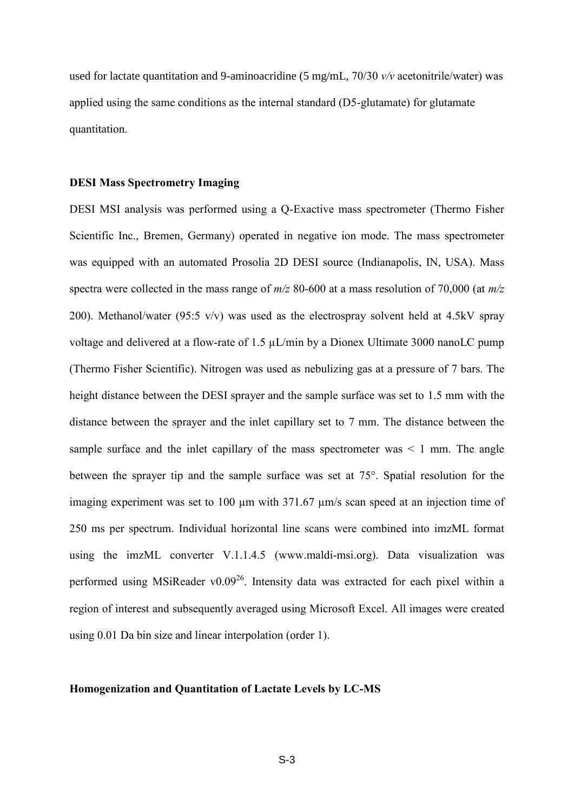used for lactate quantitation and 9-aminoacridine (5 mg/mL, 70/30 *v/v* acetonitrile/water) was applied using the same conditions as the internal standard (D5-glutamate) for glutamate quantitation.

#### **DESI Mass Spectrometry Imaging**

DESI MSI analysis was performed using a Q-Exactive mass spectrometer (Thermo Fisher Scientific Inc., Bremen, Germany) operated in negative ion mode. The mass spectrometer was equipped with an automated Prosolia 2D DESI source (Indianapolis, IN, USA). Mass spectra were collected in the mass range of *m/z* 80-600 at a mass resolution of 70,000 (at *m/z* 200). Methanol/water (95:5 v/v) was used as the electrospray solvent held at 4.5kV spray voltage and delivered at a flow-rate of 1.5 µL/min by a Dionex Ultimate 3000 nanoLC pump (Thermo Fisher Scientific). Nitrogen was used as nebulizing gas at a pressure of 7 bars. The height distance between the DESI sprayer and the sample surface was set to 1.5 mm with the distance between the sprayer and the inlet capillary set to 7 mm. The distance between the sample surface and the inlet capillary of the mass spectrometer was  $\leq 1$  mm. The angle between the sprayer tip and the sample surface was set at 75°. Spatial resolution for the imaging experiment was set to 100  $\mu$ m with 371.67  $\mu$ m/s scan speed at an injection time of 250 ms per spectrum. Individual horizontal line scans were combined into imzML format using the imzML converter V.1.1.4.5 [\(www.maldi-msi.org\)](http://www.maldi-msi.org/). Data visualization was performed using MSiReader v0.09<sup>26</sup>. Intensity data was extracted for each pixel within a region of interest and subsequently averaged using Microsoft Excel. All images were created using 0.01 Da bin size and linear interpolation (order 1).

#### **Homogenization and Quantitation of Lactate Levels by LC-MS**